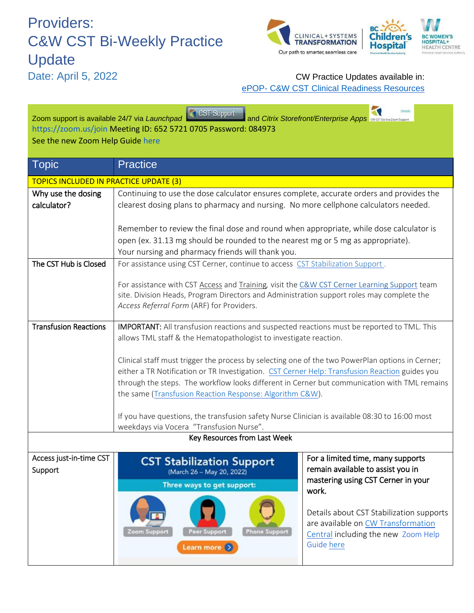## Providers: C&W CST Bi-Weekly Practice Update



## Date: April 5, 2022 CW Practice Updates available in: ePOP- [C&W CST Clinical Readiness Resources](http://policyandorders.cw.bc.ca/)

| <b>Details</b><br>CST Support<br>Zoom support is available 24/7 via Launchpad<br>and Citrix Storefront/Enterprise Apps CW CST Go-live Zoom Suppor<br>https://zoom.us/join Meeting ID: 652 5721 0705 Password: 084973<br>See the new Zoom Help Guide here |                                                                                                                                                                                                                                                                                                                                                                |                                                                                                                                                                                                                                                              |
|----------------------------------------------------------------------------------------------------------------------------------------------------------------------------------------------------------------------------------------------------------|----------------------------------------------------------------------------------------------------------------------------------------------------------------------------------------------------------------------------------------------------------------------------------------------------------------------------------------------------------------|--------------------------------------------------------------------------------------------------------------------------------------------------------------------------------------------------------------------------------------------------------------|
| Topic                                                                                                                                                                                                                                                    | <b>Practice</b>                                                                                                                                                                                                                                                                                                                                                |                                                                                                                                                                                                                                                              |
| <b>TOPICS INCLUDED IN PRACTICE UPDATE (3)</b>                                                                                                                                                                                                            |                                                                                                                                                                                                                                                                                                                                                                |                                                                                                                                                                                                                                                              |
| Why use the dosing<br>calculator?                                                                                                                                                                                                                        | Continuing to use the dose calculator ensures complete, accurate orders and provides the<br>clearest dosing plans to pharmacy and nursing. No more cellphone calculators needed.                                                                                                                                                                               |                                                                                                                                                                                                                                                              |
|                                                                                                                                                                                                                                                          | Remember to review the final dose and round when appropriate, while dose calculator is                                                                                                                                                                                                                                                                         |                                                                                                                                                                                                                                                              |
|                                                                                                                                                                                                                                                          | open (ex. 31.13 mg should be rounded to the nearest mg or 5 mg as appropriate).<br>Your nursing and pharmacy friends will thank you.                                                                                                                                                                                                                           |                                                                                                                                                                                                                                                              |
| The CST Hub is Closed                                                                                                                                                                                                                                    | For assistance using CST Cerner, continue to access CST Stabilization Support.                                                                                                                                                                                                                                                                                 |                                                                                                                                                                                                                                                              |
|                                                                                                                                                                                                                                                          | For assistance with CST Access and Training, visit the C&W CST Cerner Learning Support team<br>site. Division Heads, Program Directors and Administration support roles may complete the<br>Access Referral Form (ARF) for Providers.                                                                                                                          |                                                                                                                                                                                                                                                              |
| <b>Transfusion Reactions</b>                                                                                                                                                                                                                             | IMPORTANT: All transfusion reactions and suspected reactions must be reported to TML. This<br>allows TML staff & the Hematopathologist to investigate reaction.                                                                                                                                                                                                |                                                                                                                                                                                                                                                              |
|                                                                                                                                                                                                                                                          | Clinical staff must trigger the process by selecting one of the two PowerPlan options in Cerner;<br>either a TR Notification or TR Investigation. CST Cerner Help: Transfusion Reaction guides you<br>through the steps. The workflow looks different in Cerner but communication with TML remains<br>the same (Transfusion Reaction Response: Algorithm C&W). |                                                                                                                                                                                                                                                              |
|                                                                                                                                                                                                                                                          | If you have questions, the transfusion safety Nurse Clinician is available 08:30 to 16:00 most<br>weekdays via Vocera "Transfusion Nurse".                                                                                                                                                                                                                     |                                                                                                                                                                                                                                                              |
| Key Resources from Last Week                                                                                                                                                                                                                             |                                                                                                                                                                                                                                                                                                                                                                |                                                                                                                                                                                                                                                              |
| Access just-in-time CST<br>Support                                                                                                                                                                                                                       | <b>CST Stabilization Support</b><br>(March 26 - May 20, 2022)<br>Three ways to get support:<br>Zoom Support<br><b>Peer Support</b><br><b>Phone Support</b><br>Learn more $($                                                                                                                                                                                   | For a limited time, many supports<br>remain available to assist you in<br>mastering using CST Cerner in your<br>work.<br>Details about CST Stabilization supports<br>are available on CW Transformation<br>Central including the new Zoom Help<br>Guide here |